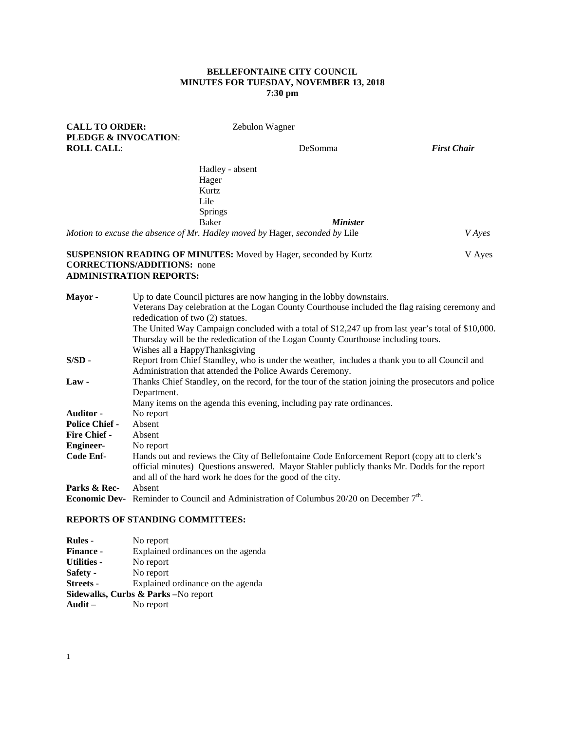## **BELLEFONTAINE CITY COUNCIL MINUTES FOR TUESDAY, NOVEMBER 13, 2018 7:30 pm**

| <b>CALL TO ORDER:</b><br><b>PLEDGE &amp; INVOCATION:</b> |                                                                                                                                                                                        | Zebulon Wagner                                                                                              |                    |  |  |
|----------------------------------------------------------|----------------------------------------------------------------------------------------------------------------------------------------------------------------------------------------|-------------------------------------------------------------------------------------------------------------|--------------------|--|--|
| <b>ROLL CALL:</b>                                        |                                                                                                                                                                                        | DeSomma                                                                                                     | <b>First Chair</b> |  |  |
|                                                          |                                                                                                                                                                                        | Hadley - absent                                                                                             |                    |  |  |
|                                                          | Hager                                                                                                                                                                                  |                                                                                                             |                    |  |  |
|                                                          | Kurtz                                                                                                                                                                                  |                                                                                                             |                    |  |  |
|                                                          | Lile                                                                                                                                                                                   |                                                                                                             |                    |  |  |
|                                                          | Springs                                                                                                                                                                                |                                                                                                             |                    |  |  |
|                                                          | <b>Baker</b>                                                                                                                                                                           | <b>Minister</b>                                                                                             |                    |  |  |
|                                                          |                                                                                                                                                                                        | Motion to excuse the absence of Mr. Hadley moved by Hager, seconded by Lile                                 | <i>V</i> Ayes      |  |  |
|                                                          |                                                                                                                                                                                        | <b>SUSPENSION READING OF MINUTES:</b> Moved by Hager, seconded by Kurtz                                     | V Ayes             |  |  |
|                                                          | <b>CORRECTIONS/ADDITIONS:</b> none                                                                                                                                                     |                                                                                                             |                    |  |  |
|                                                          | <b>ADMINISTRATION REPORTS:</b>                                                                                                                                                         |                                                                                                             |                    |  |  |
|                                                          |                                                                                                                                                                                        |                                                                                                             |                    |  |  |
| Mayor-                                                   | Up to date Council pictures are now hanging in the lobby downstairs.                                                                                                                   |                                                                                                             |                    |  |  |
|                                                          | Veterans Day celebration at the Logan County Courthouse included the flag raising ceremony and                                                                                         |                                                                                                             |                    |  |  |
|                                                          | rededication of two (2) statues.                                                                                                                                                       |                                                                                                             |                    |  |  |
|                                                          | The United Way Campaign concluded with a total of \$12,247 up from last year's total of \$10,000.<br>Thursday will be the rededication of the Logan County Courthouse including tours. |                                                                                                             |                    |  |  |
|                                                          |                                                                                                                                                                                        |                                                                                                             |                    |  |  |
| $S/SD -$                                                 | Wishes all a HappyThanksgiving<br>Report from Chief Standley, who is under the weather, includes a thank you to all Council and                                                        |                                                                                                             |                    |  |  |
|                                                          |                                                                                                                                                                                        | Administration that attended the Police Awards Ceremony.                                                    |                    |  |  |
| $Law -$                                                  |                                                                                                                                                                                        | Thanks Chief Standley, on the record, for the tour of the station joining the prosecutors and police        |                    |  |  |
|                                                          | Department.                                                                                                                                                                            |                                                                                                             |                    |  |  |
|                                                          |                                                                                                                                                                                        | Many items on the agenda this evening, including pay rate ordinances.                                       |                    |  |  |
| Auditor -                                                | No report                                                                                                                                                                              |                                                                                                             |                    |  |  |
| <b>Police Chief -</b>                                    | Absent                                                                                                                                                                                 |                                                                                                             |                    |  |  |
| <b>Fire Chief -</b>                                      | Absent                                                                                                                                                                                 |                                                                                                             |                    |  |  |
| <b>Engineer-</b>                                         | No report                                                                                                                                                                              |                                                                                                             |                    |  |  |
| <b>Code Enf-</b>                                         |                                                                                                                                                                                        | Hands out and reviews the City of Bellefontaine Code Enforcement Report (copy att to clerk's                |                    |  |  |
|                                                          | official minutes) Questions answered. Mayor Stahler publicly thanks Mr. Dodds for the report                                                                                           |                                                                                                             |                    |  |  |
|                                                          |                                                                                                                                                                                        | and all of the hard work he does for the good of the city.                                                  |                    |  |  |
| Parks & Rec-                                             | Absent                                                                                                                                                                                 |                                                                                                             |                    |  |  |
|                                                          |                                                                                                                                                                                        | <b>Economic Dev-</b> Reminder to Council and Administration of Columbus 20/20 on December 7 <sup>th</sup> . |                    |  |  |
|                                                          | FROREG OF GELATATIC COLOUTIONS                                                                                                                                                         |                                                                                                             |                    |  |  |

# **REPORTS OF STANDING COMMITTEES:**

| <b>Rules</b> -     | No report                                       |
|--------------------|-------------------------------------------------|
| <b>Finance -</b>   | Explained ordinances on the agenda              |
| <b>Utilities -</b> | No report                                       |
| Safety -           | No report                                       |
| <b>Streets -</b>   | Explained ordinance on the agenda               |
|                    | <b>Sidewalks, Curbs &amp; Parks</b> – No report |
| Audit $-$          | No report                                       |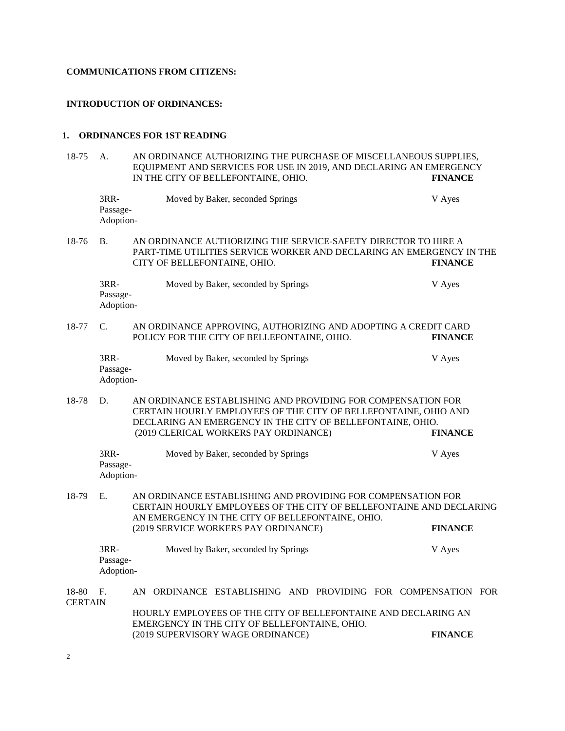#### **COMMUNICATIONS FROM CITIZENS:**

#### **INTRODUCTION OF ORDINANCES:**

#### **1. ORDINANCES FOR 1ST READING**

18-75 A. AN ORDINANCE AUTHORIZING THE PURCHASE OF MISCELLANEOUS SUPPLIES, EQUIPMENT AND SERVICES FOR USE IN 2019, AND DECLARING AN EMERGENCY IN THE CITY OF BELLEFONTAINE. OHIO. IN THE CITY OF BELLEFONTAINE, OHIO. 3RR- Moved by Baker, seconded Springs V Ayes Passage-Adoption-18-76 B. AN ORDINANCE AUTHORIZING THE SERVICE-SAFETY DIRECTOR TO HIRE A PART-TIME UTILITIES SERVICE WORKER AND DECLARING AN EMERGENCY IN THE CITY OF BELLEFONTAINE, OHIO. **FINANCE** 3RR- Moved by Baker, seconded by Springs V Ayes Passage-Adoption-18-77 C. AN ORDINANCE APPROVING, AUTHORIZING AND ADOPTING A CREDIT CARD<br>POLICY FOR THE CITY OF BELLEFONTAINE. OHIO. FINANCE POLICY FOR THE CITY OF BELLEFONTAINE, OHIO. 3RR- Moved by Baker, seconded by Springs V Ayes Passage-Adoption-18-78 D. AN ORDINANCE ESTABLISHING AND PROVIDING FOR COMPENSATION FOR CERTAIN HOURLY EMPLOYEES OF THE CITY OF BELLEFONTAINE, OHIO AND DECLARING AN EMERGENCY IN THE CITY OF BELLEFONTAINE, OHIO.<br>(2019 CLERICAL WORKERS PAY ORDINANCE) FINANCE (2019 CLERICAL WORKERS PAY ORDINANCE) **FINANCE** 3RR- Moved by Baker, seconded by Springs V Ayes Passage-Adoption-18-79 E. AN ORDINANCE ESTABLISHING AND PROVIDING FOR COMPENSATION FOR CERTAIN HOURLY EMPLOYEES OF THE CITY OF BELLEFONTAINE AND DECLARING AN EMERGENCY IN THE CITY OF BELLEFONTAINE, OHIO. (2019 SERVICE WORKERS PAY ORDINANCE) **FINANCE** 3RR- Moved by Baker, seconded by Springs V Ayes Passage-Adoption-18-80 F. AN ORDINANCE ESTABLISHING AND PROVIDING FOR COMPENSATION FOR **CERTAIN** HOURLY EMPLOYEES OF THE CITY OF BELLEFONTAINE AND DECLARING AN EMERGENCY IN THE CITY OF BELLEFONTAINE, OHIO. (2019 SUPERVISORY WAGE ORDINANCE) **FINANCE**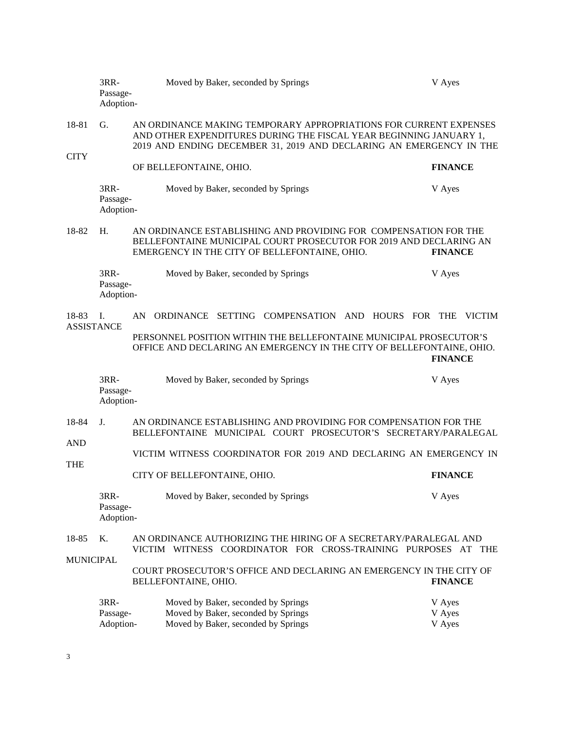|                            | 3RR-<br>Passage-<br>Adoption- |                                                                                                                                                                                                                | Moved by Baker, seconded by Springs                                                                                                                                                     | V Ayes                     |  |  |  |
|----------------------------|-------------------------------|----------------------------------------------------------------------------------------------------------------------------------------------------------------------------------------------------------------|-----------------------------------------------------------------------------------------------------------------------------------------------------------------------------------------|----------------------------|--|--|--|
| 18-81<br><b>CITY</b>       | G.                            | AN ORDINANCE MAKING TEMPORARY APPROPRIATIONS FOR CURRENT EXPENSES<br>AND OTHER EXPENDITURES DURING THE FISCAL YEAR BEGINNING JANUARY 1,<br>2019 AND ENDING DECEMBER 31, 2019 AND DECLARING AN EMERGENCY IN THE |                                                                                                                                                                                         |                            |  |  |  |
|                            |                               |                                                                                                                                                                                                                | OF BELLEFONTAINE, OHIO.                                                                                                                                                                 | <b>FINANCE</b>             |  |  |  |
|                            | 3RR-<br>Passage-<br>Adoption- |                                                                                                                                                                                                                | Moved by Baker, seconded by Springs                                                                                                                                                     | V Ayes                     |  |  |  |
| 18-82                      | H.                            |                                                                                                                                                                                                                | AN ORDINANCE ESTABLISHING AND PROVIDING FOR COMPENSATION FOR THE<br>BELLEFONTAINE MUNICIPAL COURT PROSECUTOR FOR 2019 AND DECLARING AN<br>EMERGENCY IN THE CITY OF BELLEFONTAINE, OHIO. | <b>FINANCE</b>             |  |  |  |
|                            | 3RR-<br>Passage-<br>Adoption- |                                                                                                                                                                                                                | Moved by Baker, seconded by Springs                                                                                                                                                     | V Ayes                     |  |  |  |
| 18-83<br><b>ASSISTANCE</b> | I.                            | AN                                                                                                                                                                                                             | SETTING COMPENSATION AND HOURS FOR THE<br><b>ORDINANCE</b>                                                                                                                              | <b>VICTIM</b>              |  |  |  |
|                            |                               |                                                                                                                                                                                                                | PERSONNEL POSITION WITHIN THE BELLEFONTAINE MUNICIPAL PROSECUTOR'S<br>OFFICE AND DECLARING AN EMERGENCY IN THE CITY OF BELLEFONTAINE, OHIO.                                             | <b>FINANCE</b>             |  |  |  |
|                            | 3RR-<br>Passage-<br>Adoption- |                                                                                                                                                                                                                | Moved by Baker, seconded by Springs                                                                                                                                                     | V Ayes                     |  |  |  |
| 18-84                      | $J_{-}$                       | AN ORDINANCE ESTABLISHING AND PROVIDING FOR COMPENSATION FOR THE<br>BELLEFONTAINE MUNICIPAL COURT PROSECUTOR'S SECRETARY/PARALEGAL                                                                             |                                                                                                                                                                                         |                            |  |  |  |
| <b>AND</b><br><b>THE</b>   |                               |                                                                                                                                                                                                                | VICTIM WITNESS COORDINATOR FOR 2019 AND DECLARING AN EMERGENCY IN                                                                                                                       |                            |  |  |  |
|                            |                               |                                                                                                                                                                                                                | CITY OF BELLEFONTAINE, OHIO.                                                                                                                                                            | <b>FINANCE</b>             |  |  |  |
|                            | 3RR-<br>Passage-<br>Adoption- |                                                                                                                                                                                                                | Moved by Baker, seconded by Springs                                                                                                                                                     | V Ayes                     |  |  |  |
| 18-85                      | K.                            | AN ORDINANCE AUTHORIZING THE HIRING OF A SECRETARY/PARALEGAL AND<br>VICTIM WITNESS COORDINATOR FOR CROSS-TRAINING PURPOSES AT THE                                                                              |                                                                                                                                                                                         |                            |  |  |  |
| <b>MUNICIPAL</b>           |                               |                                                                                                                                                                                                                | COURT PROSECUTOR'S OFFICE AND DECLARING AN EMERGENCY IN THE CITY OF<br>BELLEFONTAINE, OHIO.                                                                                             | <b>FINANCE</b>             |  |  |  |
|                            | 3RR-<br>Passage-<br>Adoption- |                                                                                                                                                                                                                | Moved by Baker, seconded by Springs<br>Moved by Baker, seconded by Springs<br>Moved by Baker, seconded by Springs                                                                       | V Ayes<br>V Ayes<br>V Ayes |  |  |  |